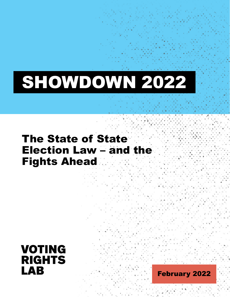## SHOWDOWN 2022

### The State of State Election Law – and the Fights Ahead



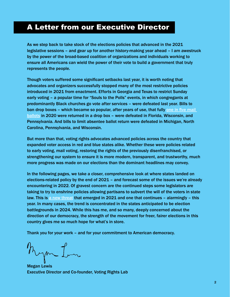### <span id="page-1-0"></span>A Letter from our Executive Director

As we step back to take stock of the elections policies that advanced in the 2021 legislative sessions – and gear up for another history-making year ahead – I am awestruck by the power of the broad-based coalition of organizations and individuals working to ensure all Americans can wield the power of their vote to build a government that truly represents the people.

Though voters suffered some significant setbacks last year, it is worth noting that advocates and organizers successfully stopped many of the most restrictive policies introduced in 2021 from enactment. Efforts in Georgia and Texas to restrict Sunday early voting – a popular time for "Souls to the Polls" events, in which congregants at predominantly Black churches go vote after services – were defeated last year. Bills to ban drop boxes – which became so popular, after years of use, that fully [one in five mail](http://electionlab.mit.edu/sites/default/files/2020-12/How-we-voted-in-2020-v01.pdf)  [ballots](http://electionlab.mit.edu/sites/default/files/2020-12/How-we-voted-in-2020-v01.pdf) in 2020 were returned in a drop box – were defeated in Florida, Wisconsin, and Pennsylvania. And bills to limit absentee ballot return were defeated in Michigan, North Carolina, Pennsylvania, and Wisconsin.

But more than that, voting rights advocates advanced policies across the country that expanded voter access in red and blue states alike. Whether these were policies related to early voting, mail voting, restoring the rights of the previously disenfranchised, or strengthening our system to ensure it is more modern, transparent, and trustworthy, much more progress was made on our elections than the dominant headlines may convey.

In the following pages, we take a closer, comprehensive look at where states landed on elections-related policy by the end of 2021 – and forecast some of the issues we're already encountering in 2022. Of gravest concern are the continued steps some legislators are taking to try to enshrine policies allowing partisans to subvert the will of the voters in state law. This is [a new threat](https://votingrightslab.org/a-threat-to-our-democracy-election-subversion-in-the-2021-legislative-session/) that emerged in 2021 and one that continues - alarmingly - this year. In many cases, the trend is concentrated in the states anticipated to be election battlegrounds in 2024. While this has me, and so many, deeply concerned about the direction of our democracy, the strength of the movement for freer, fairer elections in this country gives me so much hope for what's in store.

Thank you for your work – and for your commitment to American democracy.

m?

Megan Lewis Executive Director and Co-founder, Voting Rights Lab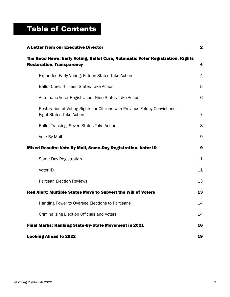### Table of Contents

| <b>A Letter from our Executive Director</b>                                                                        | 2              |
|--------------------------------------------------------------------------------------------------------------------|----------------|
| The Good News: Early Voting, Ballot Cure, Automatic Voter Registration, Rights<br><b>Restoration, Transparency</b> | 4              |
| Expanded Early Voting: Fifteen States Take Action                                                                  | 4              |
| <b>Ballot Cure: Thirteen States Take Action</b>                                                                    | 5              |
| Automatic Voter Registration: Nine States Take Action                                                              | 6              |
| Restoration of Voting Rights for Citizens with Previous Felony Convictions:<br><b>Eight States Take Action</b>     | $\overline{7}$ |
| <b>Ballot Tracking: Seven States Take Action</b>                                                                   | 8              |
| Vote By Mail                                                                                                       | 9              |
| Mixed Results: Vote By Mail, Same-Day Registration, Voter ID                                                       | 9              |
| Same-Day Registration                                                                                              | 11             |
| Voter ID                                                                                                           | 11             |
| <b>Partisan Election Reviews</b>                                                                                   | 13             |
| Red Alert: Multiple States Move to Subvert the Will of Voters                                                      | 13             |
| Handing Power to Oversee Elections to Partisans                                                                    | 14             |
| <b>Criminalizing Election Officials and Voters</b>                                                                 | 14             |
| Final Marks: Ranking State-By-State Movement in 2021                                                               | 16             |
| <b>Looking Ahead to 2022</b>                                                                                       | 19             |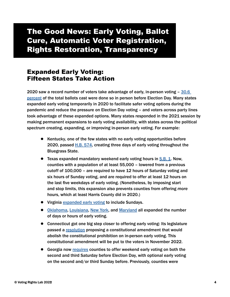### <span id="page-3-0"></span>The Good News: Early Voting, Ballot Cure, Automatic Voter Registration, Rights Restoration, Transparency

### Expanded Early Voting: Fifteen States Take Action

2020 saw a record number of voters take advantage of early, in-person voting – [30.6](https://www.eac.gov/sites/default/files/document_library/files/2020_EAVS_Report_Final_508c.pdf)  [percent](https://www.eac.gov/sites/default/files/document_library/files/2020_EAVS_Report_Final_508c.pdf) of the total ballots cast were done so in person before Election Day. Many states expanded early voting temporarily in 2020 to facilitate safer voting options during the pandemic and reduce the pressure on Election Day voting – and voters across party lines took advantage of these expanded options. Many states responded in the 2021 session by making permanent expansions to early voting availability, with states across the political spectrum creating, expanding, or improving in-person early voting. For example:

- Kentucky, one of the few states with no early voting opportunities before 2020, passed [H.B. 574,](https://tracker.votingrightslab.org/pending/search/KY2021H574) creating three days of early voting throughout the Bluegrass State.
- Texas expanded mandatory weekend early voting hours in [S.B. 1.](https://tracker.votingrightslab.org/pending/search/TX2021bS1) Now, counties with a population of at least 55,000 – lowered from a previous cutoff of 100,000 – are required to have 12 hours of Saturday voting and six hours of Sunday voting, and are required to offer at least 12 hours on the last five weekdays of early voting. (Nonetheless, by imposing start and stop limits, this expansion also prevents counties from offering *more* hours, which at least Harris County did in 2020.)
- Virginia [expanded early voting](https://tracker.votingrightslab.org/pending/search/VA2020H1968) to include Sundays.
- [Oklahoma](https://tracker.votingrightslab.org/pending/search/OK2021H2663), [Louisiana,](https://tracker.votingrightslab.org/pending/search/LA2021H286) [New York,](https://tracker.votingrightslab.org/pending/search/NY2021S4306) and [Maryland](https://tracker.votingrightslab.org/pending/search/MD2021H206) all expanded the number of days or hours of early voting.
- Connecticut got one big step closer to offering early voting: Its legislature passed a [resolution](https://tracker.votingrightslab.org/pending/search/CT2021HJR59) proposing a constitutional amendment that would abolish the constitutional prohibition on in-person early voting. This constitutional amendment will be put to the voters in November 2022.
- Georgia now [requires](https://tracker.votingrightslab.org/pending/search/GA2021S202) counties to offer weekend early voting on both the second and third Saturday before Election Day, with optional early voting on the second and/or third Sunday before. Previously, counties were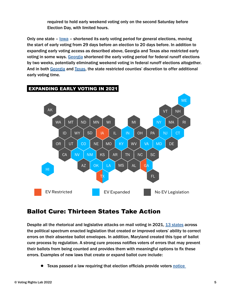required to hold early weekend voting only on the second Saturday before Election Day, with limited hours.

<span id="page-4-0"></span>Only one state  $-$  lowa  $-$  shortened its early voting period for general elections, moving the start of early voting from 29 days before an election to 20 days before. In addition to expanding early voting access as described above, Georgia and Texas also restricted early voting in some ways. [Georgia](https://tracker.votingrightslab.org/pending/search/GA2021S202) shortened the early voting period for federal runoff elections by two weeks, potentially eliminating weekend voting in federal runoff elections altogether. And in both [Georgia](https://tracker.votingrightslab.org/pending/search/GA2021S202) and [Texas,](https://tracker.votingrightslab.org/pending/search/TX2021bS1) the state restricted counties' discretion to offer additional early voting time.



### EXPANDING EARLY VOTING IN 2021 EXPANDING EARLY VOTING IN 2021

### Ballot Cure: Thirteen States Take Action

Despite all the rhetorical and legislative attacks on mail voting in 2021, [13 states](https://tracker.votingrightslab.org/pending/search?number=8221675160354914) across the political spectrum enacted legislation that created or improved voters' ability to correct errors on their absentee ballot envelopes. In addition, Maryland created this type of ballot cure process by regulation. A strong cure process notifies voters of errors that may prevent their ballots from being counted and provides them with meaningful options to fix these errors. Examples of new laws that create or expand ballot cure include:

● Texas passed a law requiring that election officials provide voters notice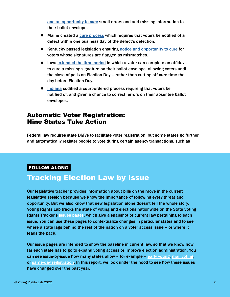<span id="page-5-0"></span>[and an opportunity to cure](https://tracker.votingrightslab.org/pending/search/TX2021bS1) small errors and add missing information to their ballot envelope.

- Maine created a [cure process](https://tracker.votingrightslab.org/pending/search/ME2021aS450) which requires that voters be notified of a defect within one business day of the defect's detection.
- Kentucky passed legislation ensuring [notice and opportunity to cure](https://tracker.votingrightslab.org/pending/search/KY2021H574) for voters whose signatures are flagged as mismatches.
- lowa [extended the time period](https://tracker.votingrightslab.org/pending/search/IA2021S413) in which a voter can complete an affidavit to cure a missing signature on their ballot envelope, allowing voters until the close of polls on Election Day – rather than cutting off cure time the day before Election Day.
- [Indiana](https://tracker.votingrightslab.org/pending/search/IN2021S398) codified a court-ordered process requiring that voters be notified of, and given a chance to correct, errors on their absentee ballot envelopes.

### Automatic Voter Registration: Nine States Take Action

Federal law requires state DMVs to facilitate voter registration, but some states go further and automatically register people to vote during certain agency transactions, such as

### FOLLOW ALONG

### Tracking Election Law by Issue

Our legislative tracker provides information about bills on the move in the current legislative session because we know the importance of following every threat and opportunity. But we also know that new legislation alone doesn't tell the whole story. Voting Rights Lab tracks the state of voting and elections nationwide on the State Voting Rights Tracker's [issues pages](https://tracker.votingrightslab.org/issue-areas), which give a snapshot of current law pertaining to each issue. You can use these pages to contextualize changes in particular states and to see where a state lags behind the rest of the nation on a voter access issue – or where it leads the pack.

Our issue pages are intended to show the baseline in current law, so that we know how far each state has to go to expand voting access or improve election administration. You can see issue-by-issue how many states allow – for example – [early voting,](https://tracker.votingrightslab.org/issues/21ErlyVtngAvlblty) [mail voting,](https://tracker.votingrightslab.org/Voting-By-Mail-issue-area) or [same-day registration.](https://tracker.votingrightslab.org/issues/21SDR?law=31) In this report, we look under the hood to see how these issues have changed over the past year.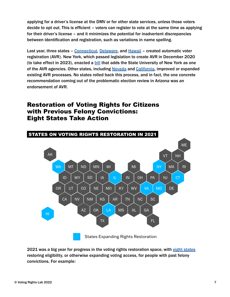<span id="page-6-0"></span>applying for a driver's license at the DMV or for other state services, unless those voters decide to opt out. This is efficient – voters can register to vote at the same time as applying for their driver's license – and it minimizes the potential for inadvertent discrepancies between identification and registration, such as variations in name spelling.

Last year, three states - [Connecticut](https://tracker.votingrightslab.org/pending/search/CT2021aS1202), [Delaware](https://tracker.votingrightslab.org/pending/search/DE2021S5), and [Hawaii](https://tracker.votingrightslab.org/pending/search/HI2021S159) - created automatic voter registration (AVR). New York, which passed legislation to create AVR in December 2020 (to take effect in 2023), enacted a **[bill](https://tracker.votingrightslab.org/pending/search/NY2021A2574)** that adds the State University of New York as one of the AVR agencies. Other states, including [Nevada](https://tracker.votingrightslab.org/pending/search/NV2021A432) and [California](https://tracker.votingrightslab.org/pending/search/CA2021A796), improved or expanded existing AVR processes. No states rolled back this process, and in fact, the one concrete recommendation coming out of the problematic election review in Arizona was an endorsement of AVR.

### Restoration of Voting Rights for Citizens with Previous Felony Convictions: Eight States Take Action



2021 was a big year for progress in the voting rights restoration space, with [eight states](https://tracker.votingrightslab.org/pending/search?number=2932870246814632https://tracker.votingrightslab.org/pending/search?number=2932870246814632) restoring eligibility, or otherwise expanding voting access, for people with past felony convictions. For example: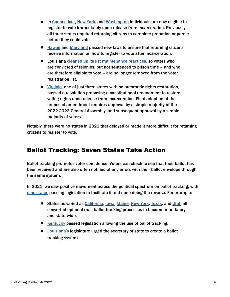- <span id="page-7-0"></span>● In [Connecticut,](https://tracker.votingrightslab.org/pending/search/CT2021aS1202) [New York,](https://tracker.votingrightslab.org/pending/search/NY2021S830) and [Washington](https://tracker.votingrightslab.org/pending/search/WA2021H1078) individuals are now eligible to register to vote immediately upon release from incarceration. Previously, all three states required returning citizens to complete probation or parole before they could vote.
- [Hawaii](https://tracker.votingrightslab.org/pending/search/HI2021S548) and [Maryland](https://tracker.votingrightslab.org/pending/search/MD2021H222) passed new laws to ensure that returning citizens receive information on how to register to vote after incarceration.
- Louisiana [cleaned up its list maintenance practices](https://tracker.votingrightslab.org/pending/search/LA2021H378), so voters who are convicted of felonies, but not sentenced to prison time – and who are therefore eligible to vote – are no longer removed from the voter registration list.
- [Virginia](https://tracker.votingrightslab.org/pending/search/VA2020HJR555), one of just three states with no automatic rights restoration, passed a resolution proposing a constitutional amendment to restore voting rights upon release from incarceration. Final adoption of the proposed amendment requires approval by a simple majority of the 2022-2023 General Assembly, and subsequent approval by a simple majority of voters.

Notably, there were no states in 2021 that delayed or made it more difficult for returning citizens to register to vote.

### Ballot Tracking: Seven States Take Action

Ballot tracking promotes voter confidence. Voters can check to see that their ballot has been received and are also often notified of any errors with their ballot envelope through the same system.

In 2021, we saw positive movement across the political spectrum on ballot tracking, with [nine states](https://tracker.votingrightslab.org/pending/search?number=3996335494899269) passing legislation to facilitate it and none doing the reverse. For example:

- States as varied as [California,](https://tracker.votingrightslab.org/pending/search/CA2021A37) lowa, [Maine,](https://tracker.votingrightslab.org/pending/search/ME2021aS450) [New York](https://tracker.votingrightslab.org/pending/search/NY2021A4186), [Texas,](https://tracker.votingrightslab.org/pending/search/TX2021H1382) and [Utah](https://tracker.votingrightslab.org/pending/search/UT2021H70) all converted optional mail ballot tracking processes to become mandatory and state-wide.
- [Kentucky](https://tracker.votingrightslab.org/pending/search/KY2021H574) passed legislation allowing the use of ballot tracking.
- [Louisiana's](https://tracker.votingrightslab.org/pending/search/LA2021HCR60) legislature urged the secretary of state to create a ballot tracking system.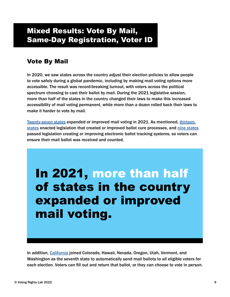### <span id="page-8-0"></span>Mixed Results: Vote By Mail, Same-Day Registration, Voter ID

### Vote By Mail

In 2020, we saw states across the country adjust their election policies to allow people to vote safely during a global pandemic, including by making mail voting options more accessible. The result was record-breaking turnout, with voters across the political spectrum choosing to cast their ballot by mail. During the 2021 legislative session, more than half of the states in the country changed their laws to make this increased accessibility of mail voting permanent, while more than a dozen rolled back their laws to make it harder to vote by mail.

[Twenty-seven states](https://tracker.votingrightslab.org/pending/search?number=5367801175314548) expanded or improved mail voting in 2021. As mentioned, [thirteen](https://tracker.votingrightslab.org/pending/search?number=8545167891478339)  [states](https://tracker.votingrightslab.org/pending/search?number=8545167891478339) enacted legislation that created or improved ballot cure processes, and [nine states](https://tracker.votingrightslab.org/pending/search?number=7915969501560230) passed legislation creating or improving electronic ballot tracking systems, so voters can ensure their mail ballot was received and counted.

### In 2021, more than half of states in the country expanded or improved mail voting.

In addition, [California](https://tracker.votingrightslab.org/pending/search/CA2021A37) joined Colorado, Hawaii, Nevada, Oregon, Utah, Vermont, and Washington as the seventh state to automatically send mail ballots to all eligible voters for each election. Voters can fill out and return that ballot, or they can choose to vote in person.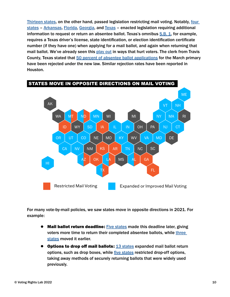[Thirteen states](https://tracker.votingrightslab.org/pending/search?number=9928346216614312), on the other hand, passed legislation restricting mail voting. Notably, [four](https://tracker.votingrightslab.org/pending/search?number=2512614285573444)  [states](https://tracker.votingrightslab.org/pending/search?number=2512614285573444) – [Arkansas](https://tracker.votingrightslab.org/pending/search/AR2021H1112), [Florida](https://tracker.votingrightslab.org/pending/search/FL2021S90), [Georgia](https://tracker.votingrightslab.org/pending/search/GA2021S202), and [Texas](https://tracker.votingrightslab.org/pending/search/TX2021bS1) – enacted legislation requiring additional information to request or return an absentee ballot. Texas's omnibus  $S.B. 1$ , for example, requires a Texas driver's license, state identification, or election identification certificate number (if they have one) when applying for a mail ballot, and again when returning that mail ballot. We've already seen this [play out](https://www.houstonchronicle.com/politics/texas/article/Texas-Secretary-of-State-scrambles-to-address-16786098.php) in ways that hurt voters. The clerk from Travis County, Texas stated that [50 percent of absentee ballot applications](https://www.npr.org/2022/01/20/1074296368/why-texas-election-officials-are-rejecting-hundreds-of-vote-by-mail-applications) for the March primary have been rejected under the new law. Similar rejection rates have been reported in Houston.



For many vote-by-mail policies, we saw states move in opposite directions in 2021. For example:

- Mail ballot return deadline: [Five states](https://tracker.votingrightslab.org/pending/search?number=6694283786228955) made this deadline later, giving voters more time to return their completed absentee ballots, while three [states](https://tracker.votingrightslab.org/pending/search?number=9079936904072128) moved it earlier.
- Options to drop off mail ballots: [13 states](https://tracker.votingrightslab.org/pending/search?number=2047540567114026) expanded mail ballot return options, such as drop boxes, while [five states](https://tracker.votingrightslab.org/pending/search?number=4479170843954336) restricted drop-off options, taking away methods of securely returning ballots that were widely used previously.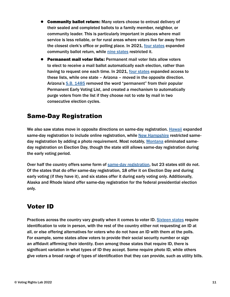- <span id="page-10-0"></span>● Community ballot return: Many voters choose to entrust delivery of their sealed and completed ballots to a family member, neighbor, or community leader. This is particularly important in places where mail service is less reliable, or for rural areas where voters live far away from the closest clerk's office or polling place. In 2021, [four states](https://tracker.votingrightslab.org/pending/search?number=2537610587567695) expanded community ballot return, while [nine states](https://tracker.votingrightslab.org/pending/search?number=6989834761180622) restricted it.
- Permanent mail voter lists: Permanent mail voter lists allow voters to elect to receive a mail ballot automatically each election, rather than having to request one each time. In 2021, [four states](https://tracker.votingrightslab.org/pending/search?number=2859949513269001) expanded access to these lists, while one state – Arizona – moved in the opposite direction. Arizona's [S.B. 1485](https://tracker.votingrightslab.org/pending/search/AZ2021S1485) removed the word "permanent" from their popular Permanent Early Voting List, and created a mechanism to automatically purge voters from the list if they choose not to vote by mail in two consecutive election cycles.

### Same-Day Registration

We also saw states move in opposite directions on same-day registration. [Hawaii](https://tracker.votingrightslab.org/pending/search/HI2021S548) expanded same-day registration to include online registration, while [New Hampshire](https://tracker.votingrightslab.org/pending/search/NH2021H523) restricted sameday registration by adding a photo requirement. Most notably, [Montana](https://tracker.votingrightslab.org/pending/search/MT2021H176) eliminated sameday registration on Election Day, though the state still allows same-day registration during the early voting period.

Over half the country offers some form of [same-day registration](https://tracker.votingrightslab.org/issues/21SDR), but 23 states still do not. Of the states that do offer same-day registration, 18 offer it on Election Day and during early voting (if they have it), and six states offer it during early voting only. Additionally, Alaska and Rhode Island offer same-day registration for the federal presidential election only.

### Voter ID

Practices across the country vary greatly when it comes to voter ID. [Sixteen states](https://tracker.votingrightslab.org/issues/21VoterID) require identification to vote in person, with the rest of the country either not requesting an ID at all, or else offering alternatives for voters who do not have an ID with them at the polls. For example, some states allow voters to provide their social security number or sign an affidavit affirming their identity. Even among those states that require ID, there is significant variation in what types of ID they accept. Some require photo ID, while others give voters a broad range of types of identification that they can provide, such as utility bills.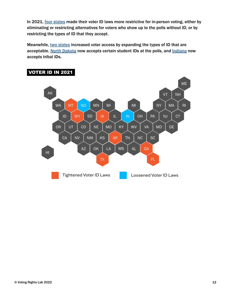In 2021, [four states](https://tracker.votingrightslab.org/pending/search?number=4893844925636187) made their voter ID laws more restrictive for in-person voting, either by eliminating or restricting alternatives for voters who show up to the polls without ID, or by restricting the types of ID that they accept.

Meanwhile, [two states](https://tracker.votingrightslab.org/pending/search?number=2606877836851016) increased voter access by expanding the types of ID that are acceptable. [North Dakota](https://tracker.votingrightslab.org/pending/search/ND2021H1447) now accepts certain student IDs at the polls, and [Indiana](https://tracker.votingrightslab.org/pending/search/IN2021H1485) now accepts tribal IDs.



### **VOTER ID IN 2021**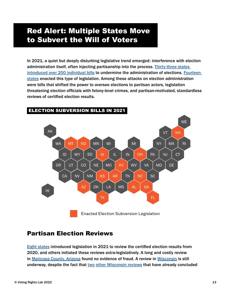### <span id="page-12-0"></span>Red Alert: Multiple States Move to Subvert the Will of Voters

In 2021, a quiet but deeply disturbing legislative trend emerged: interference with election administration itself, often injecting partisanship into the process. [Thirty-three states](https://tracker.votingrightslab.org/pending/search?number=1565481581612593)  [introduced over 200 individual bills](https://tracker.votingrightslab.org/pending/search?number=1565481581612593) to undermine the administration of elections. [Fourteen](https://tracker.votingrightslab.org/pending/search?number=3637924693300905)  [states](https://tracker.votingrightslab.org/pending/search?number=3637924693300905) enacted this type of legislation. Among these attacks on election administration were bills that shifted the power to oversee elections to partisan actors, legislation threatening election officials with felony-level crimes, and partisan-motivated, standardless reviews of certified election results.



### ELECTION SUBVERSION BILLS IN 2021 ELECTION SUBVERSION BILLS IN 2021

### Partisan Election Reviews

[Eight states](https://tracker.votingrightslab.org/pending/search?number=2368537372023938) introduced legislation in 2021 to review the certified election results from 2020, and others initiated these reviews extra-legislatively. A long and costly review in [Maricopa County, Arizona](https://www.azfamily.com/news/politics/arizona_politics/cyber-ninjas-final-report-on-maricopa-county-election-audit/article_d36f347a-1d6c-11ec-9bcd-3f7997be88dd.html) found no evidence of fraud. A review in [Wisconsin](https://www.washingtonpost.com/politics/2021/10/14/wisconsin-election-review-gableman-errors/?utm_source=rss&utm_medium=referral&utm_campaign=wp_politics) is still underway, despite the fact that [two](https://abcnews.go.com/Politics/wireStory/wisconsin-audit-finds-elections-safe-secure-80729558) [other Wisconsin reviews](https://wisconsinexaminer.com/2021/12/08/will-unveils-its-own-report-on-2020-elections-finds-no-fraud-but-attacks-election-administration/) that have already concluded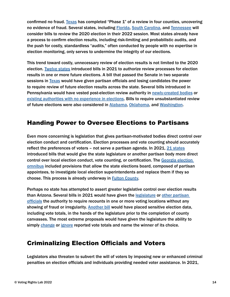<span id="page-13-0"></span>confirmed no fraud. [Texas](https://www.texastribune.org/2021/12/31/secretary-state-texas-election-audit/) has completed "Phase 1" of a review in four counties, uncovering no evidence of fraud. Several states, including **Florida, South Carolina**, and [Tennessee](https://www.capitol.tn.gov/Bills/112/Bill/SB1657.pdf) will consider bills to review the 2020 election in their 2022 session. Most states already have a process to confirm election results, including risk-limiting and probabilistic audits, and the push for costly, standardless "audits," often conducted by people with no expertise in election monitoring, only serves to undermine the integrity of our elections.

This trend toward costly, unnecessary review of election results is not limited to the 2020 election. [Twelve states](https://tracker.votingrightslab.org/pending/search?number=8067336671918343) introduced bills in 2021 to authorize review processes for election results in one or more future elections. A bill that passed the Senate in two separate sessions in [Texas](https://tracker.votingrightslab.org/pending/search/TX2021cS47) would have given partisan officials and losing candidates the power to require review of future election results across the state. Several bills introduced in Pennsylvania would have vested post-election review authority in [newly-created bodies](https://tracker.votingrightslab.org/pending/search/PA2021H1482) or [existing authorities with no experience in elections.](https://tracker.votingrightslab.org/pending/search/PA2021H1483) Bills to require unsubstantiated review of future elections were also considered in [Alabama,](https://tracker.votingrightslab.org/pending/search/AL2021H116) [Oklahoma](https://tracker.votingrightslab.org/pending/search/OK2021S34), and [Washington](https://tracker.votingrightslab.org/pending/search/WA2021H1506).

### Handing Power to Oversee Elections to Partisans

Even more concerning is legislation that gives partisan-motivated bodies direct control over election conduct and certification. Election processes and vote counting should accurately reflect the preferences of voters - not serve a partisan agenda. In 2021, [21 states](https://tracker.votingrightslab.org/pending/search?number=7882095552320274) introduced bills that would give the state legislature or another partisan body more direct control over local election conduct, vote counting, or certification. The [Georgia election](https://tracker.votingrightslab.org/pending/search/GA2021S202)  [omnibus](https://tracker.votingrightslab.org/pending/search/GA2021S202) included provisions that allow the state elections board, composed of partisan appointees, to investigate local election superintendents and replace them if they so choose. This process is already underway in [Fulton County.](https://www.ajc.com/politics/prospect-of-georgia-election-takeover-fuels-concerns-about-vote-integrity/CFMTLFW6TZFH7O4LLNDZ3BY4NE/)

Perhaps no state has attempted to assert greater legislative control over election results than Arizona. Several bills in 2021 would have given the l[egislature](https://tracker.votingrightslab.org/pending/search/AZ2021S1615) or other partisan [officials](https://tracker.votingrightslab.org/pending/search/AZ2021S1010) the authority to require recounts in one or more voting locations without any showing of fraud or irregularity. [Another bill](https://tracker.votingrightslab.org/pending/search/AZ2021S1444) would have placed sensitive election data, including vote totals, in the hands of the legislature prior to the completion of county canvasses. The most extreme proposals would have given the legislature the ability to simply [change](https://tracker.votingrightslab.org/pending/search/AZ2021H2800) or [ignore](https://www.azleg.gov/legtext/55leg/1R/bills/HB2720P.pdf) reported vote totals and name the winner of its choice.

### Criminalizing Election Officials and Voters

Legislators also threaten to subvert the will of voters by imposing new or enhanced criminal penalties on election officials and individuals providing needed voter assistance. In 2021,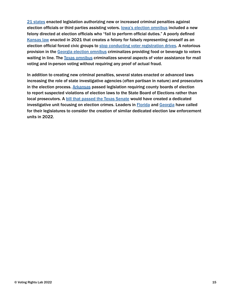[21 states](https://tracker.votingrightslab.org/pending/search?number=6901764195383813) enacted legislation authorizing new or increased criminal penalties against election officials or third parties assisting voters. **[Iowa's election omnibus](https://tracker.votingrightslab.org/pending/search/IA2021S413) included a new** felony directed at election officials who "fail to perform official duties." A poorly defined [Kansas law](https://tracker.votingrightslab.org/pending/search/KS2021H2183) enacted in 2021 that creates a felony for falsely representing oneself as an election official forced civic groups to [stop conducting voter registration drives](https://www.npr.org/2021/08/23/1030430564/new-laws-have-basically-ended-voter-registration-drives-in-some-parts-of-the-u-s). A notorious provision in the [Georgia election omnibus](https://tracker.votingrightslab.org/pending/search/GA2021S202) criminalizes providing food or beverage to voters waiting in line. The [Texas omnibus](https://tracker.votingrightslab.org/pending/search/TX2021bS1) criminalizes several aspects of voter assistance for mail voting and in-person voting without requiring any proof of actual fraud.

In addition to creating new criminal penalties, several states enacted or advanced laws increasing the role of state investigative agencies (often partisan in nature) and prosecutors in the election process. [Arkansas](https://tracker.votingrightslab.org/pending/search/AR2021S498) passed legislation requiring county boards of election to report suspected violations of election laws to the State Board of Elections rather than local prosecutors. A **[bill that passed the Texas Senate](https://tracker.votingrightslab.org/pending/search/TX2021S1589)** would have created a dedicated investigative unit focusing on election crimes. Leaders in [Florida](https://www.theguardian.com/us-news/2022/jan/18/ron-desantis-election-crime-security-agency-florida) and [Georgia](https://www.washingtonpost.com/politics/2022/01/20/perdue-calls-for-election-fraud-unit/) have called for their legislatures to consider the creation of similar dedicated election law enforcement units in 2022.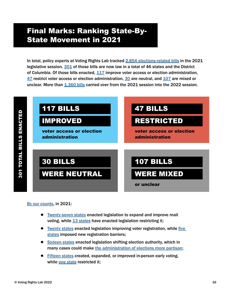### <span id="page-15-0"></span>Final Marks: Ranking State-By-State Movement in 2021

In total, policy experts at Voting Rights Lab tracked [2,854 elections-related bills](https://tracker.votingrightslab.org/pending/search?number=9008354400925850) in the 2021 legislative session. [301](https://tracker.votingrightslab.org/pending/search?number=5262891662843764) of those bills are now law in a total of 46 states and the District of Columbia. Of those bills enacted, [117](https://tracker.votingrightslab.org/pending/search?number=2798384490535133) improve voter access or election administration, [47](https://tracker.votingrightslab.org/pending/search?number=1645606238732715) restrict voter access or election administration, [30](https://tracker.votingrightslab.org/pending/search?number=8319339930351691) are neutral, and [107](https://tracker.votingrightslab.org/pending/search?number=7279585561867340) are mixed or unclear. More than [1,360 bills](https://tracker.votingrightslab.org/pending/search?number=7342618519779732) carried over from the 2021 session into the 2022 session.



#### [By our counts,](https://tracker.votingrightslab.org/pending/search?number=2928649276420834) in 2021:

- [Twenty-seven states](https://tracker.votingrightslab.org/pending/search?number=5367801175314548) enacted legislation to expand and improve mail voting, while [13 states](https://tracker.votingrightslab.org/pending/search?number=9928346216614312) have enacted legislation restricting it;
- [Twenty states](https://tracker.votingrightslab.org/pending/search?number=7368425465272014) enacted legislation improving voter registration, while [five](https://tracker.votingrightslab.org/pending/search?number=3794340377265076)  [states](https://tracker.votingrightslab.org/pending/search?number=3794340377265076) imposed new registration barriers;
- [Sixteen states](https://tracker.votingrightslab.org/pending/search?number=5984641538009124) enacted legislation shifting election authority, which in many cases could make [the administration of elections more partisan;](https://docs.google.com/spreadsheets/d/1nWvvBRGMFbLM83gw8nEq4SeSFKCvp0lMwNq3t-d5WK0/edit#gid=554515035)
- [Fifteen states](https://tracker.votingrightslab.org/pending/search?number=4228644336084643) created, expanded, or improved in-person early voting, while [one state](https://tracker.votingrightslab.org/pending/search?number=2708823179992740) restricted it;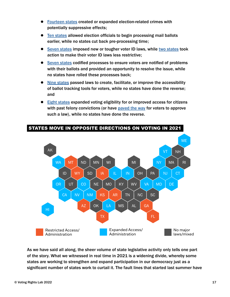- [Fourteen states](https://tracker.votingrightslab.org/pending/search?number=8986848113387726) created or expanded election-related crimes with potentially suppressive effects;
- [Ten states](https://tracker.votingrightslab.org/pending/search?number=5696492446952526) allowed election officials to begin processing mail ballots earlier, while no states cut back pre-processing time;
- [Seven states](https://tracker.votingrightslab.org/pending/search?number=1879486965258197) imposed new or tougher voter ID laws, while [two states](https://tracker.votingrightslab.org/pending/search?number=1183265793076799) took action to make their voter ID laws less restrictive;
- [Seven states](https://tracker.votingrightslab.org/pending/search?number=1072321019616528) codified processes to ensure voters are notified of problems with their ballots and provided an opportunity to resolve the issue, while no states have rolled these processes back;
- [Nine states](https://tracker.votingrightslab.org/pending/search?number=3996335494899269) passed laws to create, facilitate, or improve the accessibility of ballot tracking tools for voters, while no states have done the reverse; and
- [Eight states](https://tracker.votingrightslab.org/pending/search?number=4634174098189226) expanded voting eligibility for or improved access for citizens with past felony convictions (or have [paved the way](https://tracker.votingrightslab.org/pending/search/VA2020HJR555) for voters to approve such a law), while no states have done the reverse.



### STATES MOVE IN OPPOSITE DIRECTIONS ON VOTING IN 2021

As we have said all along, the sheer volume of state legislative activity only tells one part of the story. What we witnessed in real time in 2021 is a widening divide, whereby some states are working to strengthen and expand participation in our democracy just as a significant number of states work to curtail it. The fault lines that started last summer have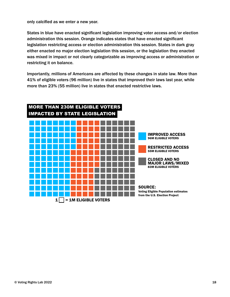only calcified as we enter a new year.

States in blue have enacted significant legislation improving voter access and/or election administration this session. Orange indicates states that have enacted significant legislation restricting access or election administration this session. States in dark gray either enacted no major election legislation this session, or the legislation they enacted was mixed in impact or not clearly categorizable as improving access or administration or restricting it on balance.

Importantly, millions of Americans are affected by these changes in state law. More than 41% of eligible voters (96 million) live in states that improved their laws last year, while more than 23% (55 million) live in states that enacted restrictive laws.

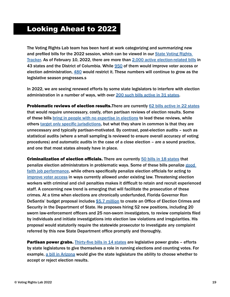### <span id="page-18-0"></span>Looking Ahead to 2022

The Voting Rights Lab team has been hard at work categorizing and summarizing new and prefiled bills for the 2022 session, which can be viewed in our [State Voting Rights](https://tracker.votingrightslab.org/pending/search)  [Tracker](https://tracker.votingrightslab.org/pending/search). As of February 10, 2022, there are more than [2,000 active election-related bills](https://tracker.votingrightslab.org/pending/search) in 43 states and the District of Columbia. While [950](https://tracker.votingrightslab.org/pending/search?number=7313643194138887) of them would improve voter access or election administration, [480](https://tracker.votingrightslab.org/pending/search?number=4114851162939330) would restrict it. These numbers will continue to grow as the legislative season progresses.s

In 2022, we are seeing renewed efforts by some state legislators to interfere with election administration in a number of ways, with over<200 such bills active in 31 states>.

Problematic reviews of election results. There are currently [62 bills active in 22 states](https://tracker.votingrightslab.org/pending/search?number=1450429735922761) that would require unnecessary, costly, often partisan reviews of election results. Some of these bills [bring in people with no expertise in elections](https://tracker.votingrightslab.org/pending/search?number=8943892807258169) to lead these reviews, while others [target only specific jurisdictions,](https://tracker.votingrightslab.org/pending/search?number=9967838002776914) but what they share in common is that they are unnecessary and typically partisan-motivated. By contrast, post-election audits – such as statistical audits (where a small sampling is reviewed to ensure overall accuracy of voting procedures) and automatic audits in the case of a close election – are a sound practice, and one that most states already have in place.

Criminalization of election officials. There are currently [50 bills in 18 states](https://tracker.votingrightslab.org/pending/search?number=4366345124462252) that penalize election administrators in problematic ways. Some of these bills penalize good [faith job performance](https://tracker.votingrightslab.org/pending/search?number=3287127457606382), while others specifically penalize election officials for acting to [improve voter access](https://tracker.votingrightslab.org/pending/search?number=7607400405735290) in ways currently allowed under existing law. Threatening election workers with criminal and civil penalties makes it difficult to retain and recruit experienced staff. A concerning new trend is emerging that will facilitate the prosecution of these crimes. At a time when elections are chronically underfunded, Florida Governor Ron DeSantis' budget proposal includes [\\$5.7 million](https://dos.myflorida.com/communications/press-releases/2021/governor-ron-desantis-freedom-first-budget-strengthens-election-integrity-and-preserves-history/) to create an Office of Election Crimes and Security in the Department of State. He proposes hiring 52 new positions, including 20 sworn law-enforcement officers and 25 non-sworn investigators, to review complaints filed by individuals and initiate investigations into election law violations and irregularities. His proposal would statutorily require the statewide prosecutor to investigate any complaint referred by this new State Department office promptly and thoroughly.

**Partisan power grabs.** [Thirty-five bills in 14 states](https://tracker.votingrightslab.org/pending/search?number=9029852369417124) are legislative power grabs - efforts by state legislatures to give themselves a role in running elections and counting votes. For example, [a bill in Arizona](https://tracker.votingrightslab.org/pending/search/AZ2022H2596) would give the state legislature the ability to choose whether to accept or reject election results.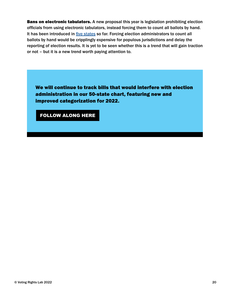Bans on electronic tabulators. A new proposal this year is legislation prohibiting election officials from using electronic tabulators, instead forcing them to count all ballots by hand. It has been introduced in *five states* so far. Forcing election administrators to count all ballots by hand would be cripplingly expensive for populous jurisdictions and delay the reporting of election results. It is yet to be seen whether this is a trend that will gain traction or not – but it is a new trend worth paying attention to.

We will continue to track bills that would interfere with election administration in our 50-state chart, featuring new and improved categorization for 2022.

[FOLLOW ALONG HERE](https://docs.google.com/spreadsheets/d/1nWvvBRGMFbLM83gw8nEq4SeSFKCvp0lMwNq3t-d5WK0/edit#gid=1804064975)